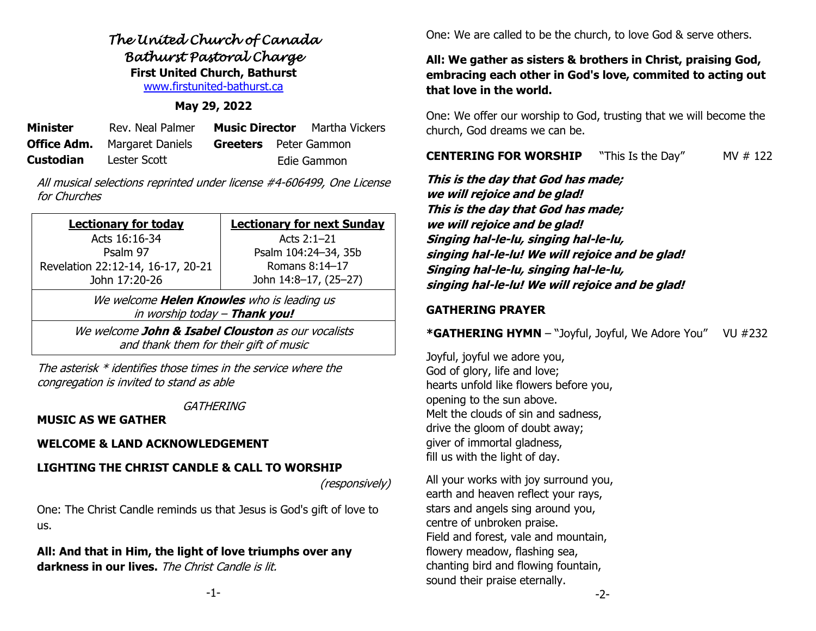# *The United Church of Canada Bathurst Pastoral Charge*  **First United Church, Bathurst** [www.firstunited-bathurst.ca](http://www.firstunited-bathurst.ca/)

## **May 29, 2022**

| <b>Minister</b>  | Rev. Neal Palmer                    |                              | <b>Music Director</b> Martha Vickers |
|------------------|-------------------------------------|------------------------------|--------------------------------------|
|                  | <b>Office Adm.</b> Margaret Daniels | <b>Greeters</b> Peter Gammon |                                      |
| <b>Custodian</b> | Lester Scott                        |                              | Edie Gammon                          |

All musical selections reprinted under license #4-606499, One License for Churches

| <b>Lectionary for today</b>                                                        | <b>Lectionary for next Sunday</b> |  |  |  |
|------------------------------------------------------------------------------------|-----------------------------------|--|--|--|
| Acts 16:16-34                                                                      | Acts 2:1-21                       |  |  |  |
| Psalm 97                                                                           | Psalm 104:24-34, 35b              |  |  |  |
| Revelation 22:12-14, 16-17, 20-21                                                  | Romans 8:14-17                    |  |  |  |
| John 17:20-26                                                                      | John 14:8-17, (25-27)             |  |  |  |
| We welcome <b>Helen Knowles</b> who is leading us<br>in worship today - Thank you! |                                   |  |  |  |
| We welcome John & Isabel Clouston as our vocalists                                 |                                   |  |  |  |
| and thank them for their gift of music                                             |                                   |  |  |  |

The asterisk \* identifies those times in the service where the congregation is invited to stand as able

**GATHERING** 

# **MUSIC AS WE GATHER**

# **WELCOME & LAND ACKNOWLEDGEMENT**

# **LIGHTING THE CHRIST CANDLE & CALL TO WORSHIP**

(responsively)

One: The Christ Candle reminds us that Jesus is God's gift of love to us.

**All: And that in Him, the light of love triumphs over any darkness in our lives.** The Christ Candle is lit.

One: We are called to be the church, to love God & serve others.

# **All: We gather as sisters & brothers in Christ, praising God, embracing each other in God's love, commited to acting out that love in the world.**

One: We offer our worship to God, trusting that we will become the church, God dreams we can be.

**CENTERING FOR WORSHIP** "This Is the Day" MV # 122

**This is the day that God has made; we will rejoice and be glad! This is the day that God has made; we will rejoice and be glad! Singing hal-le-lu, singing hal-le-lu, singing hal-le-lu! We will rejoice and be glad! Singing hal-le-lu, singing hal-le-lu, singing hal-le-lu! We will rejoice and be glad!**

## **GATHERING PRAYER**

**\*GATHERING HYMN** – "Joyful, Joyful, We Adore You" VU #232

Joyful, joyful we adore you, God of glory, life and love; hearts unfold like flowers before you, opening to the sun above. Melt the clouds of sin and sadness, drive the gloom of doubt away; giver of immortal gladness, fill us with the light of day.

All your works with joy surround you, earth and heaven reflect your rays, stars and angels sing around you, centre of unbroken praise. Field and forest, vale and mountain, flowery meadow, flashing sea, chanting bird and flowing fountain, sound their praise eternally.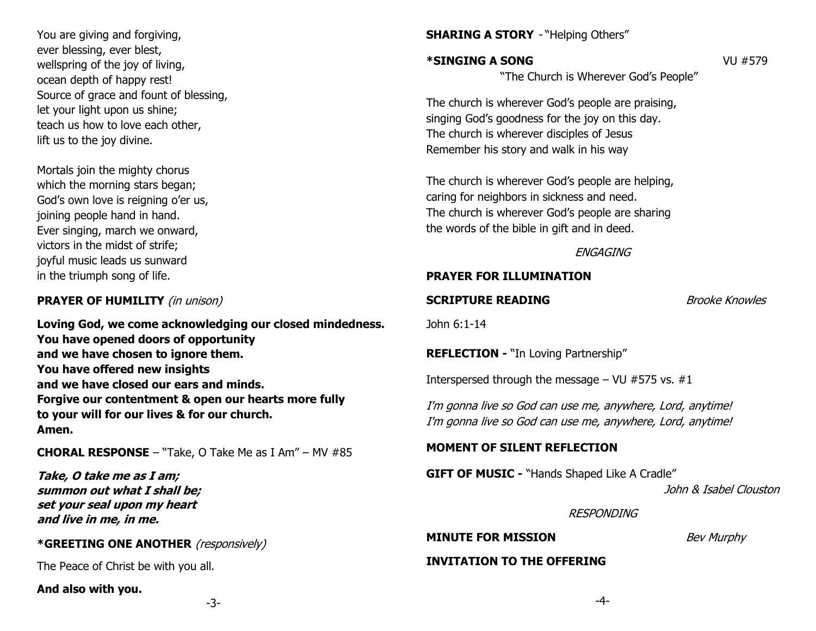You are giving and forgiving, ever blessing, ever blest, wellspring of the joy of living, ocean depth of happy rest! Source of grace and fount of blessing, let your light upon us shine; teach us how to love each other, lift us to the joy divine.

Mortals join the mighty chorus which the morning stars began; God's own love is reigning o'er us, joining people hand in hand. Ever singing, march we onward, victors in the midst of strife; joyful music leads us sunward in the triumph song of life.

## **PRAYER OF HUMILITY** (in unison)

**Loving God, we come acknowledging our closed mindedness. You have opened doors of opportunity and we have chosen to ignore them. You have offered new insights and we have closed our ears and minds. Forgive our contentment & open our hearts more fully to your will for our lives & for our church. Amen.**

**CHORAL RESPONSE** – "Take, O Take Me as I Am" – MV #85

**Take, O take me as I am; summon out what I shall be; set your seal upon my heart and live in me, in me.**

## **\*GREETING ONE ANOTHER** (responsively)

The Peace of Christ be with you all.

**And also with you.**

# **SHARING A STORY - "Helping Others"**

## **\*SINGING A SONG** VU #579

"The Church is Wherever God's People"

The church is wherever God's people are praising, singing God's goodness for the joy on this day. The church is wherever disciples of Jesus Remember his story and walk in his way

The church is wherever God's people are helping, caring for neighbors in sickness and need. The church is wherever God's people are sharing the words of the bible in gift and in deed.

**ENGAGING** 

#### **PRAYER FOR ILLUMINATION**

**SCRIPTURE READING** Brooke Knowles

John 6:1-14

**REFLECTION -** "In Loving Partnership"

Interspersed through the message – VU  $#575$  vs.  $#1$ 

I'm gonna live so God can use me, anywhere, Lord, anytime! I'm gonna live so God can use me, anywhere, Lord, anytime!

## **MOMENT OF SILENT REFLECTION**

**GIFT OF MUSIC -** "Hands Shaped Like A Cradle"

John & Isabel Clouston

RESPONDING

**MINUTE FOR MISSION** *Bev Murphy* 

#### **INVITATION TO THE OFFERING**

-3-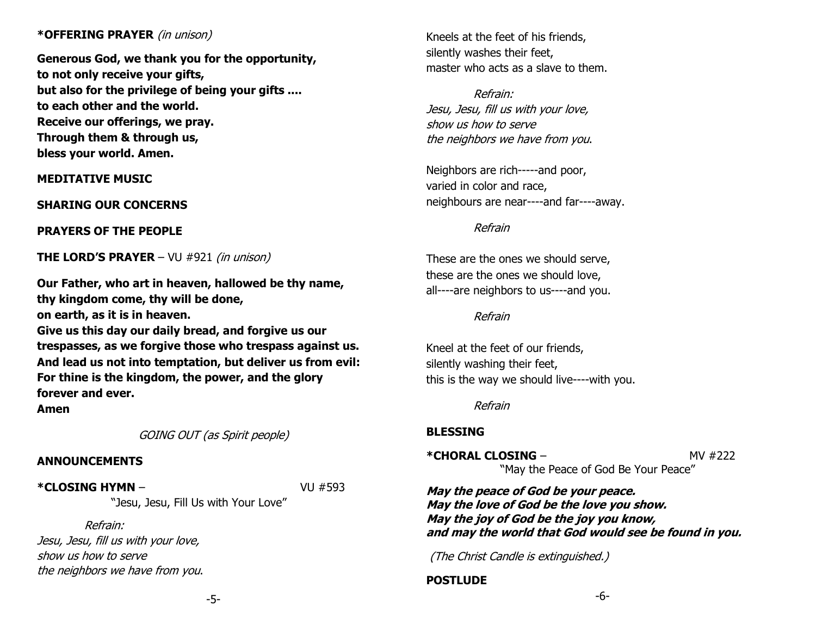#### **\*OFFERING PRAYER** (in unison)

**Generous God, we thank you for the opportunity, to not only receive your gifts, but also for the privilege of being your gifts .... to each other and the world. Receive our offerings, we pray. Through them & through us, bless your world. Amen.**

**MEDITATIVE MUSIC**

**SHARING OUR CONCERNS** 

**PRAYERS OF THE PEOPLE** 

**THE LORD'S PRAYER** – VU #921 (in unison)

**Our Father, who art in heaven, hallowed be thy name, thy kingdom come, thy will be done,** 

**on earth, as it is in heaven.** 

**Give us this day our daily bread, and forgive us our trespasses, as we forgive those who trespass against us. And lead us not into temptation, but deliver us from evil: For thine is the kingdom, the power, and the glory forever and ever.**

**Amen**

GOING OUT (as Spirit people)

#### **ANNOUNCEMENTS**

**\*CLOSING HYMN** – VU #593

"Jesu, Jesu, Fill Us with Your Love"

Refrain: Jesu, Jesu, fill us with your love, show us how to serve the neighbors we have from you. Kneels at the feet of his friends, silently washes their feet, master who acts as a slave to them.

Refrain: Jesu, Jesu, fill us with your love, show us how to serve the neighbors we have from you.

Neighbors are rich-----and poor, varied in color and race, neighbours are near----and far----away.

Refrain

These are the ones we should serve, these are the ones we should love, all----are neighbors to us----and you.

Refrain

Kneel at the feet of our friends, silently washing their feet, this is the way we should live----with you.

Refrain

## **BLESSING**

**\*CHORAL CLOSING – MV #222** "May the Peace of God Be Your Peace"

**May the peace of God be your peace. May the love of God be the love you show. May the joy of God be the joy you know, and may the world that God would see be found in you.**

(The Christ Candle is extinguished.)

**POSTLUDE** 

-5-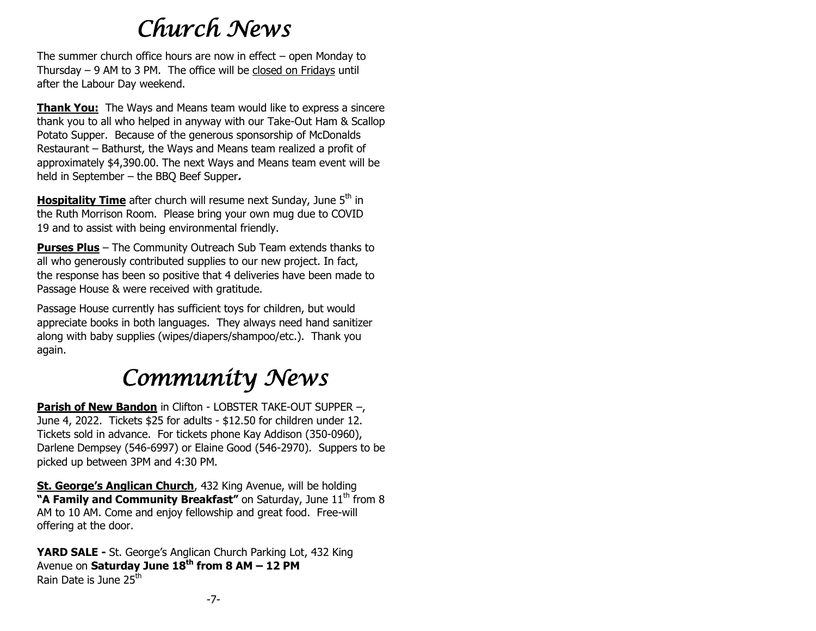# *Church News*

The summer church office hours are now in effect – open Monday to Thursday – 9 AM to 3 PM. The office will be closed on Fridays until after the Labour Day weekend.

**Thank You:** The Ways and Means team would like to express a sincere thank you to all who helped in anyway with our Take-Out Ham & Scallop Potato Supper. Because of the generous sponsorship of McDonalds Restaurant – Bathurst, the Ways and Means team realized a profit of approximately \$4,390.00. The next Ways and Means team event will be held in September – the BBQ Beef Supper**.**

**Hospitality Time** after church will resume next Sunday, June 5<sup>th</sup> in the Ruth Morrison Room. Please bring your own mug due to COVID 19 and to assist with being environmental friendly.

**Purses Plus** – The Community Outreach Sub Team extends thanks to all who generously contributed supplies to our new project. In fact, the response has been so positive that 4 deliveries have been made to Passage House & were received with gratitude.

Passage House currently has sufficient toys for children, but would appreciate books in both languages. They always need hand sanitizer along with baby supplies (wipes/diapers/shampoo/etc.). Thank you again.

# *Community News*

**Parish of New Bandon** in Clifton - LOBSTER TAKE-OUT SUPPER –, June 4, 2022. Tickets \$25 for adults - \$12.50 for children under 12. Tickets sold in advance. For tickets phone Kay Addison (350-0960), Darlene Dempsey (546-6997) or Elaine Good (546-2970). Suppers to be picked up between 3PM and 4:30 PM.

**St. George's Anglican Church**, 432 King Avenue, will be holding "A Family and Community Breakfast" on Saturday, June 11<sup>th</sup> from 8 AM to 10 AM. Come and enjoy fellowship and great food. Free-will offering at the door.

**YARD SALE -** St. George's Anglican Church Parking Lot, 432 King Avenue on **Saturday June 18th from 8 AM – 12 PM** Rain Date is June 25<sup>th</sup>